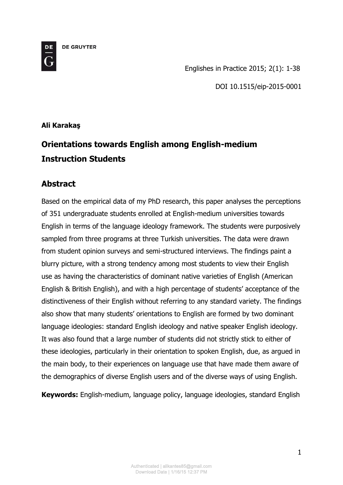**DE GRUYTER** 



Englishes in Practice 2015; 2(1): 1-38

DOI 10.1515/eip-2015-0001

## **Ali Karakaş**

# **Orientations towards English among English-medium Instruction Students**

## **Abstract**

Based on the empirical data of my PhD research, this paper analyses the perceptions of 351 undergraduate students enrolled at English-medium universities towards English in terms of the language ideology framework. The students were purposively sampled from three programs at three Turkish universities. The data were drawn from student opinion surveys and semi-structured interviews. The findings paint a blurry picture, with a strong tendency among most students to view their English use as having the characteristics of dominant native varieties of English (American English & British English), and with a high percentage of students' acceptance of the distinctiveness of their English without referring to any standard variety. The findings also show that many students' orientations to English are formed by two dominant language ideologies: standard English ideology and native speaker English ideology. It was also found that a large number of students did not strictly stick to either of these ideologies, particularly in their orientation to spoken English, due, as argued in the main body, to their experiences on language use that have made them aware of the demographics of diverse English users and of the diverse ways of using English.

**Keywords:** English-medium, language policy, language ideologies, standard English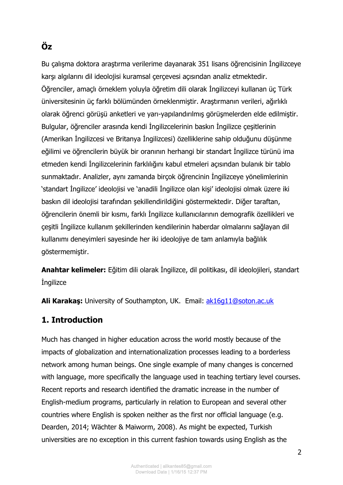# **Öz**

Bu çalışma doktora araştırma verilerime dayanarak 351 lisans öğrencisinin İngilizceye karşı algılarını dil ideolojisi kuramsal çerçevesi açısından analiz etmektedir. Öğrenciler, amaçlı örneklem yoluyla öğretim dili olarak İngilizceyi kullanan üç Türk üniversitesinin üç farklı bölümünden örneklenmiştir. Araştırmanın verileri, ağırlıklı olarak öğrenci görüşü anketleri ve yarı-yapılandırılmış görüşmelerden elde edilmiştir. Bulgular, öğrenciler arasında kendi İngilizcelerinin baskın İngilizce çeşitlerinin (Amerikan İngilizcesi ve Britanya İngilizcesi) özelliklerine sahip olduğunu düşünme eğilimi ve öğrencilerin büyük bir oranının herhangi bir standart İngilizce türünü ima etmeden kendi İngilizcelerinin farklılığını kabul etmeleri açısından bulanık bir tablo sunmaktadır. Analizler, aynı zamanda birçok öğrencinin İngilizceye yönelimlerinin 'standart İngilizce' ideolojisi ve 'anadili İngilizce olan kişi' ideolojisi olmak üzere iki baskın dil ideolojisi tarafından şekillendirildiğini göstermektedir. Diğer taraftan, öğrencilerin önemli bir kısmı, farklı İngilizce kullanıcılarının demografik özellikleri ve çeşitli İngilizce kullanım şekillerinden kendilerinin haberdar olmalarını sağlayan dil kullanımı deneyimleri sayesinde her iki ideolojiye de tam anlamıyla bağlılık göstermemiştir.

**Anahtar kelimeler:** Eğitim dili olarak İngilizce, dil politikası, dil ideolojileri, standart **ingilizce** 

**Ali Karakaş:** University of Southampton, UK. Email: [ak16g11@soton.ac.uk](mailto:ak16g11@soton.ac.uk)

## **1. Introduction**

Much has changed in higher education across the world mostly because of the impacts of globalization and internationalization processes leading to a borderless network among human beings. One single example of many changes is concerned with language, more specifically the language used in teaching tertiary level courses. Recent reports and research identified the dramatic increase in the number of English-medium programs, particularly in relation to European and several other countries where English is spoken neither as the first nor official language (e.g. Dearden, 2014; Wächter & Maiworm, 2008). As might be expected, Turkish universities are no exception in this current fashion towards using English as the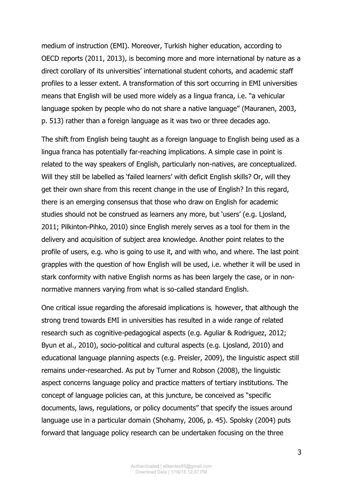medium of instruction (EMI). Moreover, Turkish higher education, according to OECD reports (2011, 2013), is becoming more and more international by nature as a direct corollary of its universities' international student cohorts, and academic staff profiles to a lesser extent. A transformation of this sort occurring in EMI universities means that English will be used more widely as a lingua franca, i.e. "a vehicular language spoken by people who do not share a native language" (Mauranen, 2003, p. 513) rather than a foreign language as it was two or three decades ago.

The shift from English being taught as a foreign language to English being used as a lingua franca has potentially far-reaching implications. A simple case in point is related to the way speakers of English, particularly non-natives, are conceptualized. Will they still be labelled as 'failed learners' with deficit English skills? Or, will they get their own share from this recent change in the use of English? In this regard, there is an emerging consensus that those who draw on English for academic studies should not be construed as learners any more, but 'users' (e.g. Ljosland, 2011; Pilkinton-Pihko, 2010) since English merely serves as a tool for them in the delivery and acquisition of subject area knowledge. Another point relates to the profile of users, e.g. who is going to use it, and with who, and where. The last point grapples with the question of how English will be used, i.e. whether it will be used in stark conformity with native English norms as has been largely the case, or in nonnormative manners varying from what is so-called standard English.

One critical issue regarding the aforesaid implications is, however, that although the strong trend towards EMI in universities has resulted in a wide range of related research such as cognitive-pedagogical aspects (e.g. Aguliar & Rodriguez, 2012; Byun et al., 2010), socio-political and cultural aspects (e.g. Liosland, 2010) and educational language planning aspects (e.g. Preisler, 2009), the linguistic aspect still remains under-researched. As put by Turner and Robson (2008), the linguistic aspect concerns language policy and practice matters of tertiary institutions. The concept of language policies can, at this juncture, be conceived as "specific documents, laws, regulations, or policy documents" that specify the issues around language use in a particular domain (Shohamy, 2006, p. 45). Spolsky (2004) puts forward that language policy research can be undertaken focusing on the three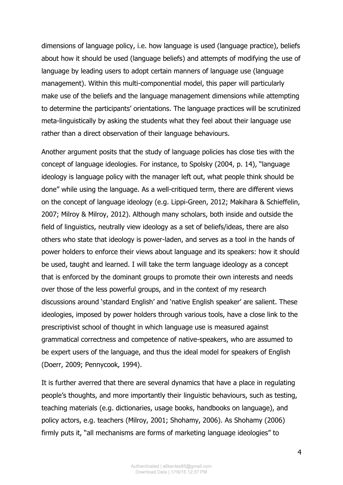dimensions of language policy, i.e. how language is used (language practice), beliefs about how it should be used (language beliefs) and attempts of modifying the use of language by leading users to adopt certain manners of language use (language management). Within this multi-componential model, this paper will particularly make use of the beliefs and the language management dimensions while attempting to determine the participants' orientations. The language practices will be scrutinized meta-linguistically by asking the students what they feel about their language use rather than a direct observation of their language behaviours.

Another argument posits that the study of language policies has close ties with the concept of language ideologies. For instance, to Spolsky (2004, p. 14), "language ideology is language policy with the manager left out, what people think should be done" while using the language. As a well-critiqued term, there are different views on the concept of language ideology (e.g. Lippi-Green, 2012; Makihara & Schieffelin, 2007; Milroy & Milroy, 2012). Although many scholars, both inside and outside the field of linguistics, neutrally view ideology as a set of beliefs/ideas, there are also others who state that ideology is power-laden, and serves as a tool in the hands of power holders to enforce their views about language and its speakers: how it should be used, taught and learned. I will take the term language ideology as a concept that is enforced by the dominant groups to promote their own interests and needs over those of the less powerful groups, and in the context of my research discussions around 'standard English' and 'native English speaker' are salient. These ideologies, imposed by power holders through various tools, have a close link to the prescriptivist school of thought in which language use is measured against grammatical correctness and competence of native-speakers, who are assumed to be expert users of the language, and thus the ideal model for speakers of English (Doerr, 2009; Pennycook, 1994).

It is further averred that there are several dynamics that have a place in regulating people's thoughts, and more importantly their linguistic behaviours, such as testing, teaching materials (e.g. dictionaries, usage books, handbooks on language), and policy actors, e.g. teachers (Milroy, 2001; Shohamy, 2006). As Shohamy (2006) firmly puts it, "all mechanisms are forms of marketing language ideologies" to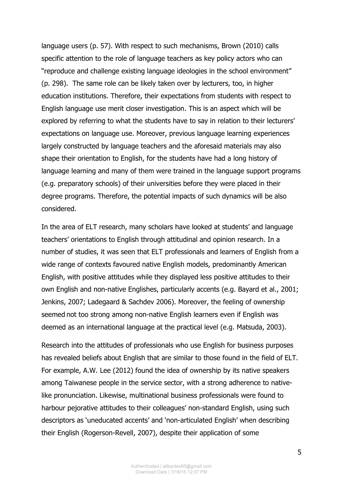language users (p. 57). With respect to such mechanisms, Brown (2010) calls specific attention to the role of language teachers as key policy actors who can "reproduce and challenge existing language ideologies in the school environment" (p. 298). The same role can be likely taken over by lecturers, too, in higher education institutions. Therefore, their expectations from students with respect to English language use merit closer investigation. This is an aspect which will be explored by referring to what the students have to say in relation to their lecturers' expectations on language use. Moreover, previous language learning experiences largely constructed by language teachers and the aforesaid materials may also shape their orientation to English, for the students have had a long history of language learning and many of them were trained in the language support programs (e.g. preparatory schools) of their universities before they were placed in their degree programs. Therefore, the potential impacts of such dynamics will be also considered.

In the area of ELT research, many scholars have looked at students' and language teachers' orientations to English through attitudinal and opinion research. In a number of studies, it was seen that ELT professionals and learners of English from a wide range of contexts favoured native English models, predominantly American English, with positive attitudes while they displayed less positive attitudes to their own English and non-native Englishes, particularly accents (e.g. Bayard et al., 2001; Jenkins, 2007; Ladegaard & Sachdev 2006). Moreover, the feeling of ownership seemed not too strong among non-native English learners even if English was deemed as an international language at the practical level (e.g. Matsuda, 2003).

Research into the attitudes of professionals who use English for business purposes has revealed beliefs about English that are similar to those found in the field of ELT. For example, A.W. Lee (2012) found the idea of ownership by its native speakers among Taiwanese people in the service sector, with a strong adherence to nativelike pronunciation. Likewise, multinational business professionals were found to harbour pejorative attitudes to their colleagues' non-standard English, using such descriptors as 'uneducated accents' and 'non-articulated English' when describing their English (Rogerson-Revell, 2007), despite their application of some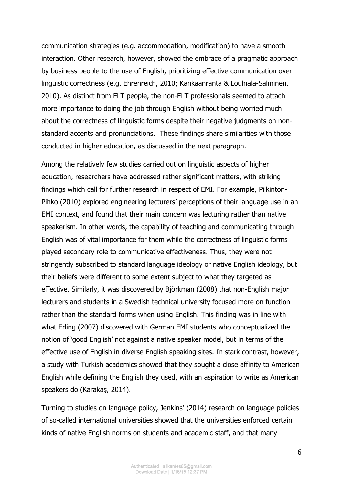communication strategies (e.g. accommodation, modification) to have a smooth interaction. Other research, however, showed the embrace of a pragmatic approach by business people to the use of English, prioritizing effective communication over linguistic correctness (e.g. Ehrenreich, 2010; Kankaanranta & Louhiala-Salminen, 2010). As distinct from ELT people, the non-ELT professionals seemed to attach more importance to doing the job through English without being worried much about the correctness of linguistic forms despite their negative judgments on nonstandard accents and pronunciations. These findings share similarities with those conducted in higher education, as discussed in the next paragraph.

Among the relatively few studies carried out on linguistic aspects of higher education, researchers have addressed rather significant matters, with striking findings which call for further research in respect of EMI. For example, Pilkinton-Pihko (2010) explored engineering lecturers' perceptions of their language use in an EMI context, and found that their main concern was lecturing rather than native speakerism. In other words, the capability of teaching and communicating through English was of vital importance for them while the correctness of linguistic forms played secondary role to communicative effectiveness. Thus, they were not stringently subscribed to standard language ideology or native English ideology, but their beliefs were different to some extent subject to what they targeted as effective. Similarly, it was discovered by Björkman (2008) that non-English major lecturers and students in a Swedish technical university focused more on function rather than the standard forms when using English. This finding was in line with what Erling (2007) discovered with German EMI students who conceptualized the notion of 'good English' not against a native speaker model, but in terms of the effective use of English in diverse English speaking sites. In stark contrast, however, a study with Turkish academics showed that they sought a close affinity to American English while defining the English they used, with an aspiration to write as American speakers do (Karakaş, 2014).

Turning to studies on language policy, Jenkins' (2014) research on language policies of so-called international universities showed that the universities enforced certain kinds of native English norms on students and academic staff, and that many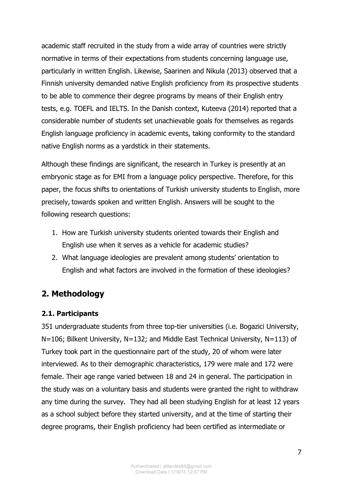academic staff recruited in the study from a wide array of countries were strictly normative in terms of their expectations from students concerning language use, particularly in written English. Likewise, Saarinen and Nikula (2013) observed that a Finnish university demanded native English proficiency from its prospective students to be able to commence their degree programs by means of their English entry tests, e.g. TOEFL and IELTS. In the Danish context, Kuteeva (2014) reported that a considerable number of students set unachievable goals for themselves as regards English language proficiency in academic events, taking conformity to the standard native English norms as a yardstick in their statements.

Although these findings are significant, the research in Turkey is presently at an embryonic stage as for EMI from a language policy perspective. Therefore, for this paper, the focus shifts to orientations of Turkish university students to English, more precisely, towards spoken and written English. Answers will be sought to the following research questions:

- 1. How are Turkish university students oriented towards their English and English use when it serves as a vehicle for academic studies?
- 2. What language ideologies are prevalent among students' orientation to English and what factors are involved in the formation of these ideologies?

# **2. Methodology**

#### **2.1. Participants**

351 undergraduate students from three top-tier universities (i.e. Bogazici University, N=106; Bilkent University, N=132; and Middle East Technical University, N=113) of Turkey took part in the questionnaire part of the study, 20 of whom were later interviewed. As to their demographic characteristics, 179 were male and 172 were female. Their age range varied between 18 and 24 in general. The participation in the study was on a voluntary basis and students were granted the right to withdraw any time during the survey. They had all been studying English for at least 12 years as a school subject before they started university, and at the time of starting their degree programs, their English proficiency had been certified as intermediate or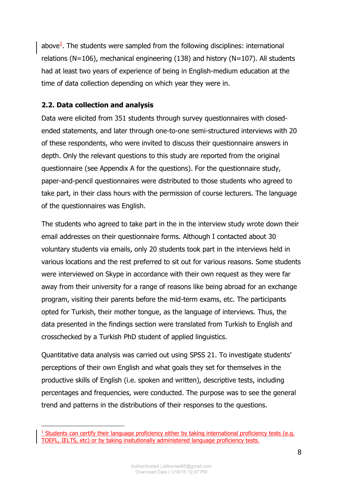above<sup>1</sup>. The students were sampled from the following disciplines: international relations (N=106), mechanical engineering (138) and history (N=107). All students had at least two years of experience of being in English-medium education at the time of data collection depending on which year they were in.

#### **2.2. Data collection and analysis**

-

Data were elicited from 351 students through survey questionnaires with closedended statements, and later through one-to-one semi-structured interviews with 20 of these respondents, who were invited to discuss their questionnaire answers in depth. Only the relevant questions to this study are reported from the original questionnaire (see Appendix A for the questions). For the questionnaire study, paper-and-pencil questionnaires were distributed to those students who agreed to take part, in their class hours with the permission of course lecturers. The language of the questionnaires was English.

The students who agreed to take part in the in the interview study wrote down their email addresses on their questionnaire forms. Although I contacted about 30 voluntary students via emails, only 20 students took part in the interviews held in various locations and the rest preferred to sit out for various reasons. Some students were interviewed on Skype in accordance with their own request as they were far away from their university for a range of reasons like being abroad for an exchange program, visiting their parents before the mid-term exams, etc. The participants opted for Turkish, their mother tongue, as the language of interviews. Thus, the data presented in the findings section were translated from Turkish to English and crosschecked by a Turkish PhD student of applied linguistics.

Quantitative data analysis was carried out using SPSS 21. To investigate students' perceptions of their own English and what goals they set for themselves in the productive skills of English (i.e. spoken and written), descriptive tests, including percentages and frequencies, were conducted. The purpose was to see the general trend and patterns in the distributions of their responses to the questions.

 $1$  Students can certify their language proficiency either by taking international proficiency tests (e.g. TOEFL, IELTS, etc) or by taking insitutionally administered language proficiency tests.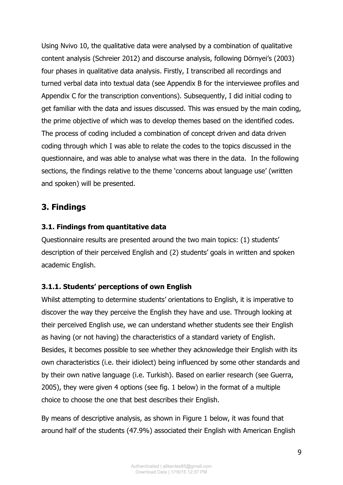Using Nvivo 10, the qualitative data were analysed by a combination of qualitative content analysis (Schreier 2012) and discourse analysis, following Dörnyei's (2003) four phases in qualitative data analysis. Firstly, I transcribed all recordings and turned verbal data into textual data (see Appendix B for the interviewee profiles and Appendix C for the transcription conventions). Subsequently, I did initial coding to get familiar with the data and issues discussed. This was ensued by the main coding, the prime objective of which was to develop themes based on the identified codes. The process of coding included a combination of concept driven and data driven coding through which I was able to relate the codes to the topics discussed in the questionnaire, and was able to analyse what was there in the data. In the following sections, the findings relative to the theme 'concerns about language use' (written and spoken) will be presented.

## **3. Findings**

#### **3.1. Findings from quantitative data**

Questionnaire results are presented around the two main topics: (1) students' description of their perceived English and (2) students' goals in written and spoken academic English.

#### **3.1.1. Students' perceptions of own English**

Whilst attempting to determine students' orientations to English, it is imperative to discover the way they perceive the English they have and use. Through looking at their perceived English use, we can understand whether students see their English as having (or not having) the characteristics of a standard variety of English. Besides, it becomes possible to see whether they acknowledge their English with its own characteristics (i.e. their idiolect) being influenced by some other standards and by their own native language (i.e. Turkish). Based on earlier research (see Guerra, 2005), they were given 4 options (see fig. 1 below) in the format of a multiple choice to choose the one that best describes their English.

By means of descriptive analysis, as shown in Figure 1 below, it was found that around half of the students (47.9%) associated their English with American English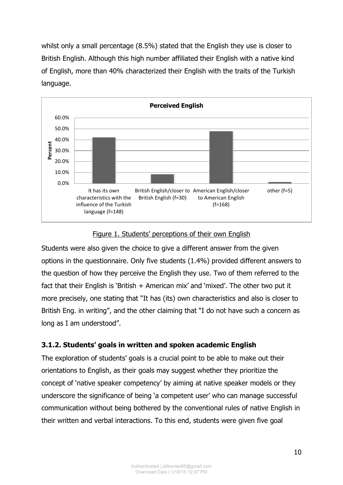whilst only a small percentage (8.5%) stated that the English they use is closer to British English. Although this high number affiliated their English with a native kind of English, more than 40% characterized their English with the traits of the Turkish language.



#### Figure 1. Students' perceptions of their own English

Students were also given the choice to give a different answer from the given options in the questionnaire. Only five students (1.4%) provided different answers to the question of how they perceive the English they use. Two of them referred to the fact that their English is 'British + American mix' and 'mixed'. The other two put it more precisely, one stating that "It has (its) own characteristics and also is closer to British Eng. in writing", and the other claiming that "I do not have such a concern as long as I am understood".

#### **3.1.2. Students' goals in written and spoken academic English**

The exploration of students' goals is a crucial point to be able to make out their orientations to English, as their goals may suggest whether they prioritize the concept of 'native speaker competency' by aiming at native speaker models or they underscore the significance of being 'a competent user' who can manage successful communication without being bothered by the conventional rules of native English in their written and verbal interactions. To this end, students were given five goal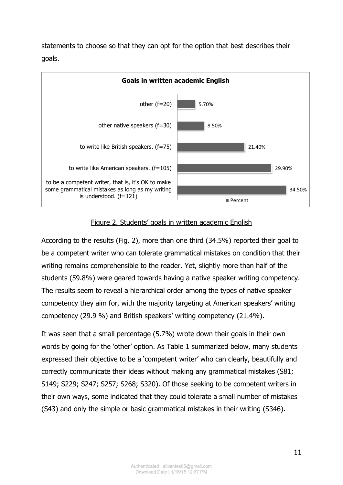

statements to choose so that they can opt for the option that best describes their goals.

#### Figure 2. Students' goals in written academic English

According to the results (Fig. 2), more than one third (34.5%) reported their goal to be a competent writer who can tolerate grammatical mistakes on condition that their writing remains comprehensible to the reader. Yet, slightly more than half of the students (59.8%) were geared towards having a native speaker writing competency. The results seem to reveal a hierarchical order among the types of native speaker competency they aim for, with the majority targeting at American speakers' writing competency (29.9 %) and British speakers' writing competency (21.4%).

It was seen that a small percentage (5.7%) wrote down their goals in their own words by going for the 'other' option. As Table 1 summarized below, many students expressed their objective to be a 'competent writer' who can clearly, beautifully and correctly communicate their ideas without making any grammatical mistakes (S81; S149; S229; S247; S257; S268; S320). Of those seeking to be competent writers in their own ways, some indicated that they could tolerate a small number of mistakes (S43) and only the simple or basic grammatical mistakes in their writing (S346).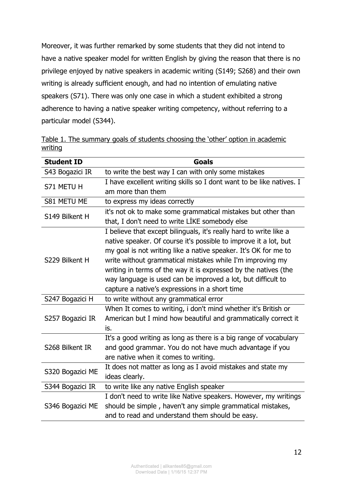Moreover, it was further remarked by some students that they did not intend to have a native speaker model for written English by giving the reason that there is no privilege enjoyed by native speakers in academic writing (S149; S268) and their own writing is already sufficient enough, and had no intention of emulating native speakers (S71). There was only one case in which a student exhibited a strong adherence to having a native speaker writing competency, without referring to a particular model (S344).

Table 1. The summary goals of students choosing the 'other' option in academic writing

| <b>Student ID</b> | <b>Goals</b>                                                                                                                                                                                                                                                                                                                                                                                                                                                |  |  |  |
|-------------------|-------------------------------------------------------------------------------------------------------------------------------------------------------------------------------------------------------------------------------------------------------------------------------------------------------------------------------------------------------------------------------------------------------------------------------------------------------------|--|--|--|
| S43 Bogazici IR   | to write the best way I can with only some mistakes                                                                                                                                                                                                                                                                                                                                                                                                         |  |  |  |
| S71 METU H        | I have excellent writing skills so I dont want to be like natives. I<br>am more than them                                                                                                                                                                                                                                                                                                                                                                   |  |  |  |
| S81 METU ME       | to express my ideas correctly                                                                                                                                                                                                                                                                                                                                                                                                                               |  |  |  |
| S149 Bilkent H    | it's not ok to make some grammatical mistakes but other than<br>that, I don't need to write LIKE somebody else                                                                                                                                                                                                                                                                                                                                              |  |  |  |
| S229 Bilkent H    | I believe that except bilinguals, it's really hard to write like a<br>native speaker. Of course it's possible to improve it a lot, but<br>my goal is not writing like a native speaker. It's OK for me to<br>write without grammatical mistakes while I'm improving my<br>writing in terms of the way it is expressed by the natives (the<br>way language is used can be improved a lot, but difficult to<br>capture a native's expressions in a short time |  |  |  |
| S247 Bogazici H   | to write without any grammatical error                                                                                                                                                                                                                                                                                                                                                                                                                      |  |  |  |
| S257 Bogazici IR  | When It comes to writing, i don't mind whether it's British or<br>American but I mind how beautiful and grammatically correct it<br>is.                                                                                                                                                                                                                                                                                                                     |  |  |  |
| S268 Bilkent IR   | It's a good writing as long as there is a big range of vocabulary<br>and good grammar. You do not have much advantage if you<br>are native when it comes to writing.                                                                                                                                                                                                                                                                                        |  |  |  |
| S320 Bogazici ME  | It does not matter as long as I avoid mistakes and state my<br>ideas clearly.                                                                                                                                                                                                                                                                                                                                                                               |  |  |  |
| S344 Bogazici IR  | to write like any native English speaker                                                                                                                                                                                                                                                                                                                                                                                                                    |  |  |  |
| S346 Bogazici ME  | I don't need to write like Native speakers. However, my writings<br>should be simple, haven't any simple grammatical mistakes,<br>and to read and understand them should be easy.                                                                                                                                                                                                                                                                           |  |  |  |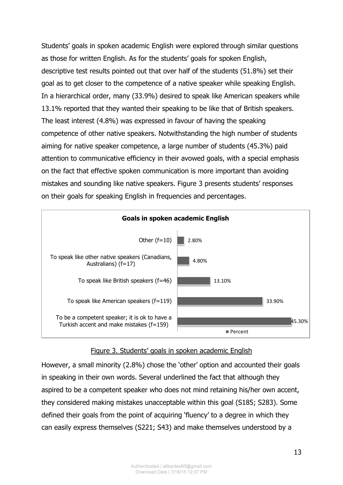Students' goals in spoken academic English were explored through similar questions as those for written English. As for the students' goals for spoken English, descriptive test results pointed out that over half of the students (51.8%) set their goal as to get closer to the competence of a native speaker while speaking English. In a hierarchical order, many (33.9%) desired to speak like American speakers while 13.1% reported that they wanted their speaking to be like that of British speakers. The least interest (4.8%) was expressed in favour of having the speaking competence of other native speakers. Notwithstanding the high number of students aiming for native speaker competence, a large number of students (45.3%) paid attention to communicative efficiency in their avowed goals, with a special emphasis on the fact that effective spoken communication is more important than avoiding mistakes and sounding like native speakers. Figure 3 presents students' responses on their goals for speaking English in frequencies and percentages.



#### Figure 3. Students' goals in spoken academic English

However, a small minority (2.8%) chose the 'other' option and accounted their goals in speaking in their own words. Several underlined the fact that although they aspired to be a competent speaker who does not mind retaining his/her own accent, they considered making mistakes unacceptable within this goal (S185; S283). Some defined their goals from the point of acquiring 'fluency' to a degree in which they can easily express themselves (S221; S43) and make themselves understood by a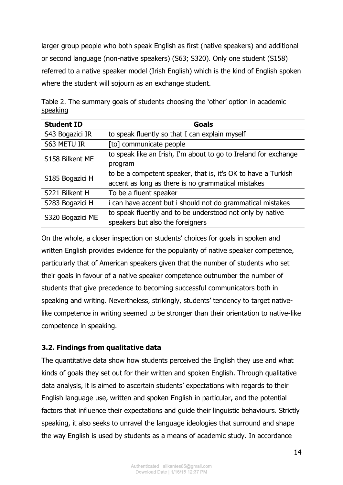larger group people who both speak English as first (native speakers) and additional or second language (non-native speakers) (S63; S320). Only one student (S158) referred to a native speaker model (Irish English) which is the kind of English spoken where the student will sojourn as an exchange student.

| <b>Student ID</b> | <b>Goals</b>                                                    |
|-------------------|-----------------------------------------------------------------|
| S43 Bogazici IR   | to speak fluently so that I can explain myself                  |
| S63 METU IR       | [to] communicate people                                         |
| S158 Bilkent ME   | to speak like an Irish, I'm about to go to Ireland for exchange |
|                   | program                                                         |
| S185 Bogazici H   | to be a competent speaker, that is, it's OK to have a Turkish   |
|                   | accent as long as there is no grammatical mistakes              |
| S221 Bilkent H    | To be a fluent speaker                                          |
| S283 Bogazici H   | i can have accent but i should not do grammatical mistakes      |
| S320 Bogazici ME  | to speak fluently and to be understood not only by native       |
|                   | speakers but also the foreigners                                |

Table 2. The summary goals of students choosing the 'other' option in academic speaking

On the whole, a closer inspection on students' choices for goals in spoken and written English provides evidence for the popularity of native speaker competence, particularly that of American speakers given that the number of students who set their goals in favour of a native speaker competence outnumber the number of students that give precedence to becoming successful communicators both in speaking and writing. Nevertheless, strikingly, students' tendency to target nativelike competence in writing seemed to be stronger than their orientation to native-like competence in speaking.

## **3.2. Findings from qualitative data**

The quantitative data show how students perceived the English they use and what kinds of goals they set out for their written and spoken English. Through qualitative data analysis, it is aimed to ascertain students' expectations with regards to their English language use, written and spoken English in particular, and the potential factors that influence their expectations and guide their linguistic behaviours. Strictly speaking, it also seeks to unravel the language ideologies that surround and shape the way English is used by students as a means of academic study. In accordance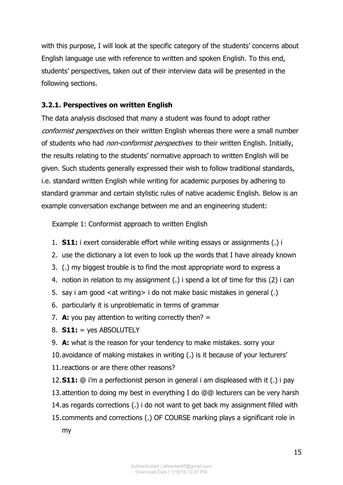with this purpose, I will look at the specific category of the students' concerns about English language use with reference to written and spoken English. To this end, students' perspectives, taken out of their interview data will be presented in the following sections.

### **3.2.1. Perspectives on written English**

The data analysis disclosed that many a student was found to adopt rather conformist perspectives on their written English whereas there were a small number of students who had *non-conformist perspectives* to their written English. Initially, the results relating to the students' normative approach to written English will be given. Such students generally expressed their wish to follow traditional standards, i.e. standard written English while writing for academic purposes by adhering to standard grammar and certain stylistic rules of native academic English. Below is an example conversation exchange between me and an engineering student:

Example 1: Conformist approach to written English

- 1. **S11:** i exert considerable effort while writing essays or assignments (.) i
- 2. use the dictionary a lot even to look up the words that I have already known
- 3. (.) my biggest trouble is to find the most appropriate word to express a
- 4. notion in relation to my assignment (.) i spend a lot of time for this (2) i can
- 5. say i am good <at writing> i do not make basic mistakes in general (.)
- 6. particularly it is unproblematic in terms of grammar
- 7. **A:** you pay attention to writing correctly then? =
- 8. **S11:** = yes ABSOLUTELY
- 9. **A:** what is the reason for your tendency to make mistakes. sorry your
- 10.avoidance of making mistakes in writing (.) is it because of your lecturers'
- 11.reactions or are there other reasons?
- 12.**S11:** @ i'm a perfectionist person in general i am displeased with it (.) i pay 13.attention to doing my best in everything I do @@ lecturers can be very harsh 14.as regards corrections (.) i do not want to get back my assignment filled with
- 15.comments and corrections (.) OF COURSE marking plays a significant role in my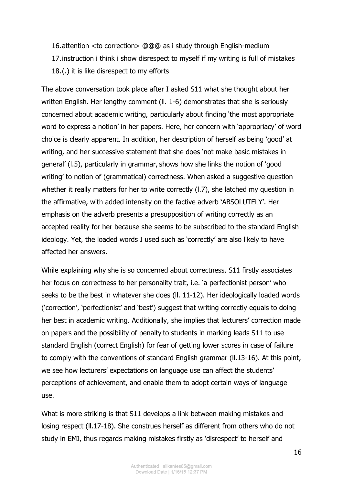16.attention <to correction> @@@ as i study through English-medium 17.instruction i think i show disrespect to myself if my writing is full of mistakes 18.(.) it is like disrespect to my efforts

The above conversation took place after I asked S11 what she thought about her written English. Her lengthy comment (ll. 1-6) demonstrates that she is seriously concerned about academic writing, particularly about finding 'the most appropriate word to express a notion' in her papers. Here, her concern with 'appropriacy' of word choice is clearly apparent. In addition, her description of herself as being 'good' at writing, and her successive statement that she does 'not make basic mistakes in general' (l.5), particularly in grammar, shows how she links the notion of 'good writing' to notion of (grammatical) correctness. When asked a suggestive question whether it really matters for her to write correctly (l.7), she latched my question in the affirmative, with added intensity on the factive adverb 'ABSOLUTELY'. Her emphasis on the adverb presents a presupposition of writing correctly as an accepted reality for her because she seems to be subscribed to the standard English ideology. Yet, the loaded words I used such as 'correctly' are also likely to have affected her answers.

While explaining why she is so concerned about correctness, S11 firstly associates her focus on correctness to her personality trait, i.e. 'a perfectionist person' who seeks to be the best in whatever she does (ll. 11-12). Her ideologically loaded words ('correction', 'perfectionist' and 'best') suggest that writing correctly equals to doing her best in academic writing. Additionally, she implies that lecturers' correction made on papers and the possibility of penalty to students in marking leads S11 to use standard English (correct English) for fear of getting lower scores in case of failure to comply with the conventions of standard English grammar (ll.13-16). At this point, we see how lecturers' expectations on language use can affect the students' perceptions of achievement, and enable them to adopt certain ways of language use.

What is more striking is that S11 develops a link between making mistakes and losing respect (ll.17-18). She construes herself as different from others who do not study in EMI, thus regards making mistakes firstly as 'disrespect' to herself and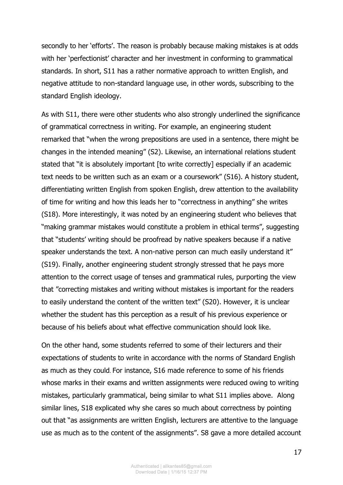secondly to her 'efforts'. The reason is probably because making mistakes is at odds with her 'perfectionist' character and her investment in conforming to grammatical standards. In short, S11 has a rather normative approach to written English, and negative attitude to non-standard language use, in other words, subscribing to the standard English ideology.

As with S11, there were other students who also strongly underlined the significance of grammatical correctness in writing. For example, an engineering student remarked that "when the wrong prepositions are used in a sentence, there might be changes in the intended meaning" (S2). Likewise, an international relations student stated that "it is absolutely important [to write correctly] especially if an academic text needs to be written such as an exam or a coursework" (S16). A history student, differentiating written English from spoken English, drew attention to the availability of time for writing and how this leads her to "correctness in anything" she writes (S18). More interestingly, it was noted by an engineering student who believes that "making grammar mistakes would constitute a problem in ethical terms", suggesting that "students' writing should be proofread by native speakers because if a native speaker understands the text. A non-native person can much easily understand it" (S19). Finally, another engineering student strongly stressed that he pays more attention to the correct usage of tenses and grammatical rules, purporting the view that "correcting mistakes and writing without mistakes is important for the readers to easily understand the content of the written text" (S20). However, it is unclear whether the student has this perception as a result of his previous experience or because of his beliefs about what effective communication should look like.

On the other hand, some students referred to some of their lecturers and their expectations of students to write in accordance with the norms of Standard English as much as they could. For instance, S16 made reference to some of his friends whose marks in their exams and written assignments were reduced owing to writing mistakes, particularly grammatical, being similar to what S11 implies above. Along similar lines, S18 explicated why she cares so much about correctness by pointing out that "as assignments are written English, lecturers are attentive to the language use as much as to the content of the assignments". S8 gave a more detailed account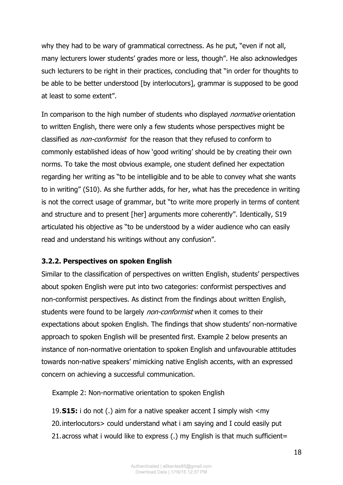why they had to be wary of grammatical correctness. As he put, "even if not all, many lecturers lower students' grades more or less, though". He also acknowledges such lecturers to be right in their practices, concluding that "in order for thoughts to be able to be better understood [by interlocutors], grammar is supposed to be good at least to some extent".

In comparison to the high number of students who displayed *normative* orientation to written English, there were only a few students whose perspectives might be classified as *non-conformist* for the reason that they refused to conform to commonly established ideas of how 'good writing' should be by creating their own norms. To take the most obvious example, one student defined her expectation regarding her writing as "to be intelligible and to be able to convey what she wants to in writing" (S10). As she further adds, for her, what has the precedence in writing is not the correct usage of grammar, but "to write more properly in terms of content and structure and to present [her] arguments more coherently". Identically, S19 articulated his objective as "to be understood by a wider audience who can easily read and understand his writings without any confusion".

#### **3.2.2. Perspectives on spoken English**

Similar to the classification of perspectives on written English, students' perspectives about spoken English were put into two categories: conformist perspectives and non-conformist perspectives. As distinct from the findings about written English, students were found to be largely *non-conformist* when it comes to their expectations about spoken English. The findings that show students' non-normative approach to spoken English will be presented first. Example 2 below presents an instance of non-normative orientation to spoken English and unfavourable attitudes towards non-native speakers' mimicking native English accents, with an expressed concern on achieving a successful communication.

Example 2: Non-normative orientation to spoken English

19.**S15:** i do not (.) aim for a native speaker accent I simply wish <my 20.interlocutors> could understand what i am saying and I could easily put 21.across what i would like to express (.) my English is that much sufficient=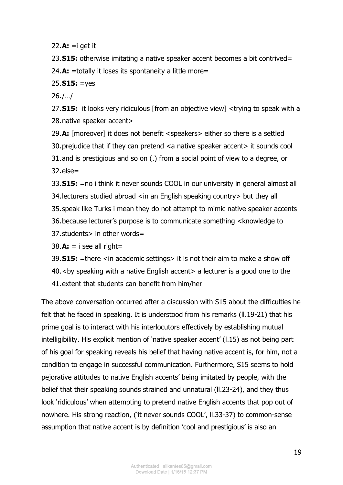22.**A:** =i get it

23.**S15:** otherwise imitating a native speaker accent becomes a bit contrived= 24.**A:** =totally it loses its spontaneity a little more=

#### 25.**S15:** =yes

26./…/

27.**S15:** it looks very ridiculous [from an objective view] <trying to speak with a 28.native speaker accent>

29.**A:** [moreover] it does not benefit <speakers> either so there is a settled 30.prejudice that if they can pretend <a native speaker accent> it sounds cool 31.and is prestigious and so on (.) from a social point of view to a degree, or 32.else=

33.**S15:** =no i think it never sounds COOL in our university in general almost all 34. lecturers studied abroad <in an English speaking country > but they all 35.speak like Turks i mean they do not attempt to mimic native speaker accents 36.because lecturer's purpose is to communicate something <knowledge to 37.students> in other words=

 $38.A: = i$  see all right=

39.**S15:** =there <in academic settings> it is not their aim to make a show off

- 40.<by speaking with a native English accent> a lecturer is a good one to the
- 41.extent that students can benefit from him/her

The above conversation occurred after a discussion with S15 about the difficulties he felt that he faced in speaking. It is understood from his remarks (ll.19-21) that his prime goal is to interact with his interlocutors effectively by establishing mutual intelligibility. His explicit mention of 'native speaker accent' (l.15) as not being part of his goal for speaking reveals his belief that having native accent is, for him, not a condition to engage in successful communication. Furthermore, S15 seems to hold pejorative attitudes to native English accents' being imitated by people, with the belief that their speaking sounds strained and unnatural (ll.23-24), and they thus look 'ridiculous' when attempting to pretend native English accents that pop out of nowhere. His strong reaction, ('it never sounds COOL', ll.33-37) to common-sense assumption that native accent is by definition 'cool and prestigious' is also an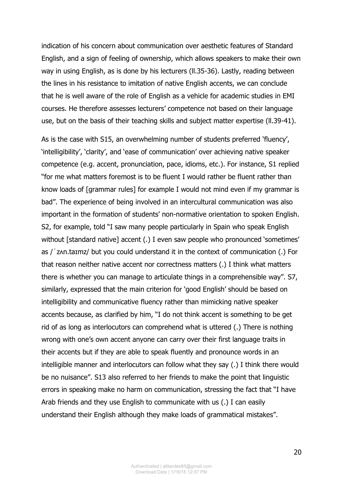indication of his concern about communication over aesthetic features of Standard English, and a sign of feeling of ownership, which allows speakers to make their own way in using English, as is done by his lecturers (ll.35-36). Lastly, reading between the lines in his resistance to imitation of native English accents, we can conclude that he is well aware of the role of English as a vehicle for academic studies in EMI courses. He therefore assesses lecturers' competence not based on their language use, but on the basis of their teaching skills and subject matter expertise (ll.39-41).

As is the case with S15, an overwhelming number of students preferred 'fluency', 'intelligibility', 'clarity', and 'ease of communication' over achieving native speaker competence (e.g. accent, pronunciation, pace, idioms, etc.). For instance, S1 replied "for me what matters foremost is to be fluent I would rather be fluent rather than know loads of [grammar rules] for example I would not mind even if my grammar is bad". The experience of being involved in an intercultural communication was also important in the formation of students' non-normative orientation to spoken English. S2, for example, told "I saw many people particularly in Spain who speak English without [standard native] accent (.) I even saw people who pronounced 'sometimes' as /ˈzʌn.taɪmz/ but you could understand it in the context of communication (.) For that reason neither native accent nor correctness matters (.) I think what matters there is whether you can manage to articulate things in a comprehensible way". S7, similarly, expressed that the main criterion for 'good English' should be based on intelligibility and communicative fluency rather than mimicking native speaker accents because, as clarified by him, "I do not think accent is something to be get rid of as long as interlocutors can comprehend what is uttered (.) There is nothing wrong with one's own accent anyone can carry over their first language traits in their accents but if they are able to speak fluently and pronounce words in an intelligible manner and interlocutors can follow what they say (.) I think there would be no nuisance". S13 also referred to her friends to make the point that linguistic errors in speaking make no harm on communication, stressing the fact that "I have Arab friends and they use English to communicate with us (.) I can easily understand their English although they make loads of grammatical mistakes".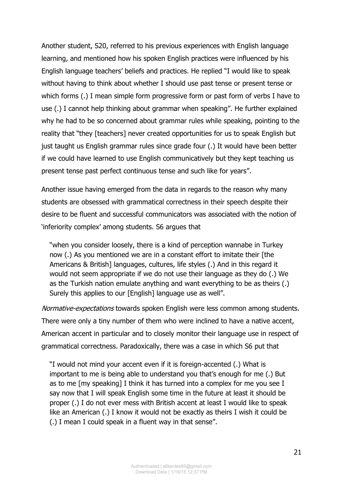Another student, S20, referred to his previous experiences with English language learning, and mentioned how his spoken English practices were influenced by his English language teachers' beliefs and practices. He replied "I would like to speak without having to think about whether I should use past tense or present tense or which forms (.) I mean simple form progressive form or past form of verbs I have to use (.) I cannot help thinking about grammar when speaking". He further explained why he had to be so concerned about grammar rules while speaking, pointing to the reality that "they [teachers] never created opportunities for us to speak English but just taught us English grammar rules since grade four (.) It would have been better if we could have learned to use English communicatively but they kept teaching us present tense past perfect continuous tense and such like for years".

Another issue having emerged from the data in regards to the reason why many students are obsessed with grammatical correctness in their speech despite their desire to be fluent and successful communicators was associated with the notion of 'inferiority complex' among students. S6 argues that

"when you consider loosely, there is a kind of perception wannabe in Turkey now (.) As you mentioned we are in a constant effort to imitate their [the Americans & British] languages, cultures, life styles (.) And in this regard it would not seem appropriate if we do not use their language as they do (.) We as the Turkish nation emulate anything and want everything to be as theirs (.) Surely this applies to our [English] language use as well".

Normative-expectations towards spoken English were less common among students. There were only a tiny number of them who were inclined to have a native accent, American accent in particular and to closely monitor their language use in respect of grammatical correctness. Paradoxically, there was a case in which S6 put that

"I would not mind your accent even if it is foreign-accented (.) What is important to me is being able to understand you that's enough for me (.) But as to me [my speaking] I think it has turned into a complex for me you see I say now that I will speak English some time in the future at least it should be proper (.) I do not ever mess with British accent at least I would like to speak like an American (.) I know it would not be exactly as theirs I wish it could be (.) I mean I could speak in a fluent way in that sense".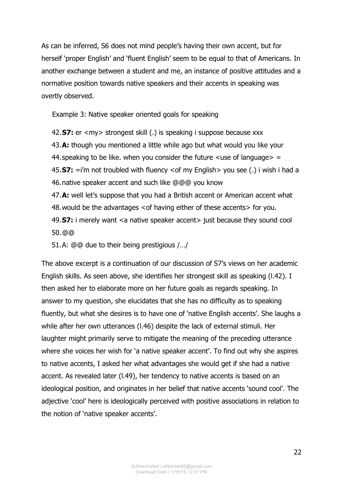As can be inferred, S6 does not mind people's having their own accent, but for herself 'proper English' and 'fluent English' seem to be equal to that of Americans. In another exchange between a student and me, an instance of positive attitudes and a normative position towards native speakers and their accents in speaking was overtly observed.

Example 3: Native speaker oriented goals for speaking

42.**S7:** er <my> strongest skill (.) is speaking i suppose because xxx 43.**A:** though you mentioned a little while ago but what would you like your 44. speaking to be like. when you consider the future  $\langle$ use of language $\rangle$  = 45.**S7:** =i'm not troubled with fluency <of my English> you see (.) i wish i had a 46.native speaker accent and such like @@@ you know 47.**A:** well let's suppose that you had a British accent or American accent what 48.would be the advantages <of having either of these accents> for you. 49.**S7:** i merely want <a native speaker accent> just because they sound cool 50.@@

51.A: @@ due to their being prestigious /…/

The above excerpt is a continuation of our discussion of S7's views on her academic English skills. As seen above, she identifies her strongest skill as speaking (l.42). I then asked her to elaborate more on her future goals as regards speaking. In answer to my question, she elucidates that she has no difficulty as to speaking fluently, but what she desires is to have one of 'native English accents'. She laughs a while after her own utterances (l.46) despite the lack of external stimuli. Her laughter might primarily serve to mitigate the meaning of the preceding utterance where she voices her wish for 'a native speaker accent'. To find out why she aspires to native accents, I asked her what advantages she would get if she had a native accent. As revealed later (l.49), her tendency to native accents is based on an ideological position, and originates in her belief that native accents 'sound cool'. The adjective 'cool' here is ideologically perceived with positive associations in relation to the notion of 'native speaker accents'.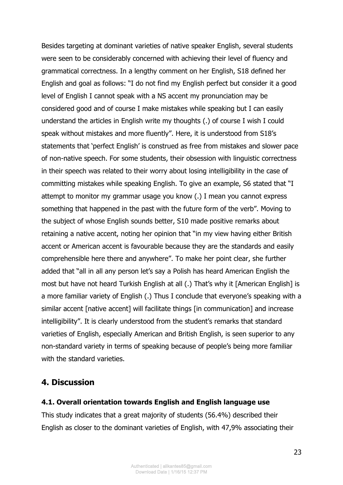Besides targeting at dominant varieties of native speaker English, several students were seen to be considerably concerned with achieving their level of fluency and grammatical correctness. In a lengthy comment on her English, S18 defined her English and goal as follows: "I do not find my English perfect but consider it a good level of English I cannot speak with a NS accent my pronunciation may be considered good and of course I make mistakes while speaking but I can easily understand the articles in English write my thoughts (.) of course I wish I could speak without mistakes and more fluently". Here, it is understood from S18's statements that 'perfect English' is construed as free from mistakes and slower pace of non-native speech. For some students, their obsession with linguistic correctness in their speech was related to their worry about losing intelligibility in the case of committing mistakes while speaking English. To give an example, S6 stated that "I attempt to monitor my grammar usage you know (.) I mean you cannot express something that happened in the past with the future form of the verb". Moving to the subject of whose English sounds better, S10 made positive remarks about retaining a native accent, noting her opinion that "in my view having either British accent or American accent is favourable because they are the standards and easily comprehensible here there and anywhere". To make her point clear, she further added that "all in all any person let's say a Polish has heard American English the most but have not heard Turkish English at all (.) That's why it [American English] is a more familiar variety of English (.) Thus I conclude that everyone's speaking with a similar accent [native accent] will facilitate things [in communication] and increase intelligibility". It is clearly understood from the student's remarks that standard varieties of English, especially American and British English, is seen superior to any non-standard variety in terms of speaking because of people's being more familiar with the standard varieties.

## **4. Discussion**

#### **4.1. Overall orientation towards English and English language use**

This study indicates that a great majority of students (56.4%) described their English as closer to the dominant varieties of English, with 47,9% associating their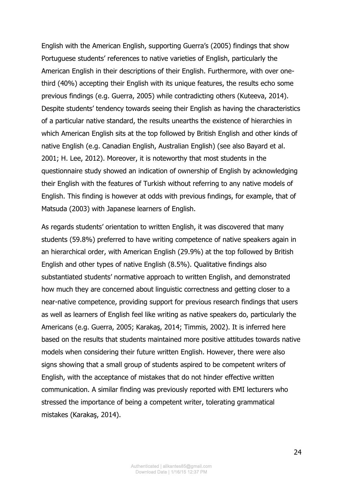English with the American English, supporting Guerra's (2005) findings that show Portuguese students' references to native varieties of English, particularly the American English in their descriptions of their English. Furthermore, with over onethird (40%) accepting their English with its unique features, the results echo some previous findings (e.g. Guerra, 2005) while contradicting others (Kuteeva, 2014). Despite students' tendency towards seeing their English as having the characteristics of a particular native standard, the results unearths the existence of hierarchies in which American English sits at the top followed by British English and other kinds of native English (e.g. Canadian English, Australian English) (see also Bayard et al. 2001; H. Lee, 2012). Moreover, it is noteworthy that most students in the questionnaire study showed an indication of ownership of English by acknowledging their English with the features of Turkish without referring to any native models of English. This finding is however at odds with previous fındings, for example, that of Matsuda (2003) with Japanese learners of English.

As regards students' orientation to written English, it was discovered that many students (59.8%) preferred to have writing competence of native speakers again in an hierarchical order, with American English (29.9%) at the top followed by British English and other types of native English (8.5%). Qualitative findings also substantiated students' normative approach to written English, and demonstrated how much they are concerned about linguistic correctness and getting closer to a near-native competence, providing support for previous research findings that users as well as learners of English feel like writing as native speakers do, particularly the Americans (e.g. Guerra, 2005; Karakaş, 2014; Timmis, 2002). It is inferred here based on the results that students maintained more positive attitudes towards native models when considering their future written English. However, there were also signs showing that a small group of students aspired to be competent writers of English, with the acceptance of mistakes that do not hinder effective written communication. A similar finding was previously reported with EMI lecturers who stressed the importance of being a competent writer, tolerating grammatical mistakes (Karakaş, 2014).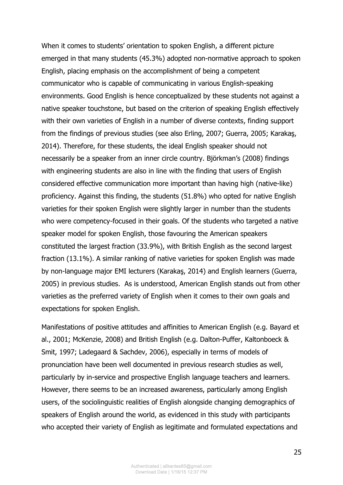When it comes to students' orientation to spoken English, a different picture emerged in that many students (45.3%) adopted non-normative approach to spoken English, placing emphasis on the accomplishment of being a competent communicator who is capable of communicating in various English-speaking environments. Good English is hence conceptualized by these students not against a native speaker touchstone, but based on the criterion of speaking English effectively with their own varieties of English in a number of diverse contexts, finding support from the findings of previous studies (see also Erling, 2007; Guerra, 2005; Karakaş, 2014). Therefore, for these students, the ideal English speaker should not necessarily be a speaker from an inner circle country. Björkman's (2008) findings with engineering students are also in line with the finding that users of English considered effective communication more important than having high (native-like) proficiency. Against this finding, the students (51.8%) who opted for native English varieties for their spoken English were slightly larger in number than the students who were competency-focused in their goals. Of the students who targeted a native speaker model for spoken English, those favouring the American speakers constituted the largest fraction (33.9%), with British English as the second largest fraction (13.1%). A similar ranking of native varieties for spoken English was made by non-language major EMI lecturers (Karakaş, 2014) and English learners (Guerra, 2005) in previous studies. As is understood, American English stands out from other varieties as the preferred variety of English when it comes to their own goals and expectations for spoken English.

Manifestations of positive attitudes and affinities to American English (e.g. Bayard et al., 2001; McKenzie, 2008) and British English (e.g. Dalton-Puffer, Kaltonboeck & Smit, 1997; Ladegaard & Sachdev, 2006), especially in terms of models of pronunciation have been well documented in previous research studies as well, particularly by in-service and prospective English language teachers and learners. However, there seems to be an increased awareness, particularly among English users, of the sociolinguistic realities of English alongside changing demographics of speakers of English around the world, as evidenced in this study with participants who accepted their variety of English as legitimate and formulated expectations and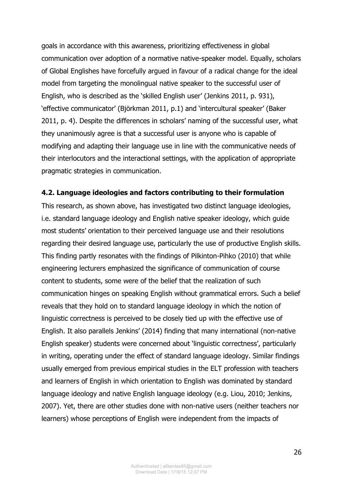goals in accordance with this awareness, prioritizing effectiveness in global communication over adoption of a normative native-speaker model. Equally, scholars of Global Englishes have forcefully argued in favour of a radical change for the ideal model from targeting the monolingual native speaker to the successful user of English, who is described as the 'skilled English user' (Jenkins 2011, p. 931), 'effective communicator' (Björkman 2011, p.1) and 'intercultural speaker' (Baker 2011, p. 4). Despite the differences in scholars' naming of the successful user, what they unanimously agree is that a successful user is anyone who is capable of modifying and adapting their language use in line with the communicative needs of their interlocutors and the interactional settings, with the application of appropriate pragmatic strategies in communication.

#### **4.2. Language ideologies and factors contributing to their formulation**

This research, as shown above, has investigated two distinct language ideologies, i.e. standard language ideology and English native speaker ideology, which guide most students' orientation to their perceived language use and their resolutions regarding their desired language use, particularly the use of productive English skills. This finding partly resonates with the findings of Pilkinton-Pihko (2010) that while engineering lecturers emphasized the significance of communication of course content to students, some were of the belief that the realization of such communication hinges on speaking English without grammatical errors. Such a belief reveals that they hold on to standard language ideology in which the notion of linguistic correctness is perceived to be closely tied up with the effective use of English. It also parallels Jenkins' (2014) finding that many international (non-native English speaker) students were concerned about 'linguistic correctness', particularly in writing, operating under the effect of standard language ideology. Similar findings usually emerged from previous empirical studies in the ELT profession with teachers and learners of English in which orientation to English was dominated by standard language ideology and native English language ideology (e.g. Liou, 2010; Jenkins, 2007). Yet, there are other studies done with non-native users (neither teachers nor learners) whose perceptions of English were independent from the impacts of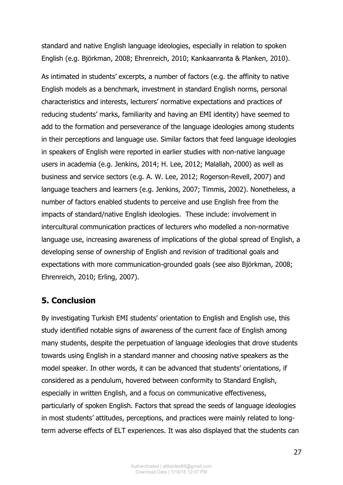standard and native English language ideologies, especially in relation to spoken English (e.g. Björkman, 2008; Ehrenreich, 2010; Kankaanranta & Planken, 2010).

As intimated in students' excerpts, a number of factors (e.g. the affinity to native English models as a benchmark, investment in standard English norms, personal characteristics and interests, lecturers' normative expectations and practices of reducing students' marks, familiarity and having an EMI identity) have seemed to add to the formation and perseverance of the language ideologies among students in their perceptions and language use. Similar factors that feed language ideologies in speakers of English were reported in earlier studies with non-native language users in academia (e.g. Jenkins, 2014; H. Lee, 2012; Malallah, 2000) as well as business and service sectors (e.g. A. W. Lee, 2012; Rogerson-Revell, 2007) and language teachers and learners (e.g. Jenkins, 2007; Timmis, 2002). Nonetheless, a number of factors enabled students to perceive and use English free from the impacts of standard/native English ideologies. These include: involvement in intercultural communication practices of lecturers who modelled a non-normative language use, increasing awareness of implications of the global spread of English, a developing sense of ownership of English and revision of traditional goals and expectations with more communication-grounded goals (see also Björkman, 2008; Ehrenreich, 2010; Erling, 2007).

## **5. Conclusion**

By investigating Turkish EMI students' orientation to English and English use, this study identified notable signs of awareness of the current face of English among many students, despite the perpetuation of language ideologies that drove students towards using English in a standard manner and choosing native speakers as the model speaker. In other words, it can be advanced that students' orientations, if considered as a pendulum, hovered between conformity to Standard English, especially in written English, and a focus on communicative effectiveness, particularly of spoken English. Factors that spread the seeds of language ideologies in most students' attitudes, perceptions, and practices were mainly related to longterm adverse effects of ELT experiences. It was also displayed that the students can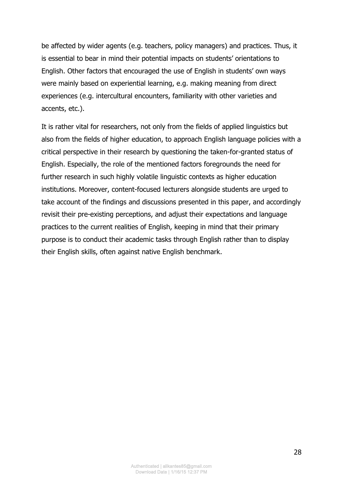be affected by wider agents (e.g. teachers, policy managers) and practices. Thus, it is essential to bear in mind their potential impacts on students' orientations to English. Other factors that encouraged the use of English in students' own ways were mainly based on experiential learning, e.g. making meaning from direct experiences (e.g. intercultural encounters, familiarity with other varieties and accents, etc.).

It is rather vital for researchers, not only from the fields of applied linguistics but also from the fields of higher education, to approach English language policies with a critical perspective in their research by questioning the taken-for-granted status of English. Especially, the role of the mentioned factors foregrounds the need for further research in such highly volatile linguistic contexts as higher education institutions. Moreover, content-focused lecturers alongside students are urged to take account of the findings and discussions presented in this paper, and accordingly revisit their pre-existing perceptions, and adjust their expectations and language practices to the current realities of English, keeping in mind that their primary purpose is to conduct their academic tasks through English rather than to display their English skills, often against native English benchmark.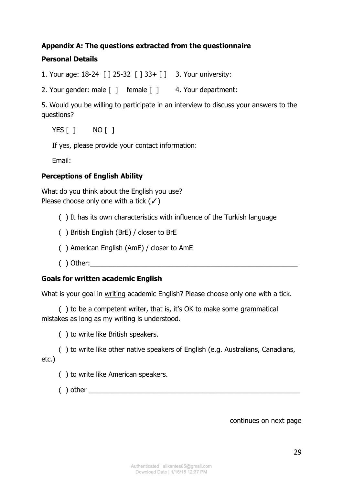## **Appendix A: The questions extracted from the questionnaire**

## **Personal Details**

1. Your age: 18-24 [ ] 25-32 [ ] 33+ [ ] 3. Your university:

2. Your gender: male [ ] female [ ] 4. Your department:

5. Would you be willing to participate in an interview to discuss your answers to the questions?

YES [ ] NO [ ]

If yes, please provide your contact information:

Email:

## **Perceptions of English Ability**

What do you think about the English you use? Please choose only one with a tick  $($  $\checkmark$ )

- ( ) It has its own characteristics with influence of the Turkish language
- ( ) British English (BrE) / closer to BrE
- ( ) American English (AmE) / closer to AmE
- ( ) Other:\_\_\_\_\_\_\_\_\_\_\_\_\_\_\_\_\_\_\_\_\_\_\_\_\_\_\_\_\_\_\_\_\_\_\_\_\_\_\_\_\_\_\_\_\_\_\_\_\_\_\_\_\_\_\_

#### **Goals for written academic English**

What is your goal in writing academic English? Please choose only one with a tick.

 ( ) to be a competent writer, that is, it's OK to make some grammatical mistakes as long as my writing is understood.

( ) to write like British speakers.

 ( ) to write like other native speakers of English (e.g. Australians, Canadians, etc.)

( ) to write like American speakers.

 $( )$  other  $\overline{\phantom{a}}$ 

continues on next page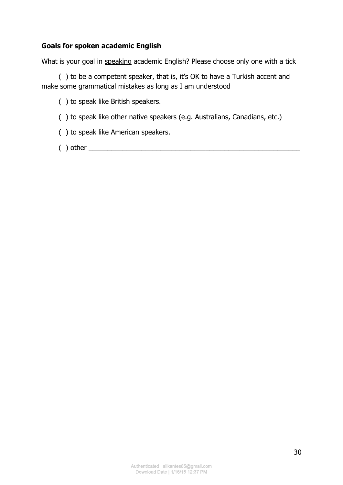#### **Goals for spoken academic English**

What is your goal in speaking academic English? Please choose only one with a tick

 ( ) to be a competent speaker, that is, it's OK to have a Turkish accent and make some grammatical mistakes as long as I am understood

( ) to speak like British speakers.

( ) to speak like other native speakers (e.g. Australians, Canadians, etc.)

( ) to speak like American speakers.

 $( )$  other  $\_\_$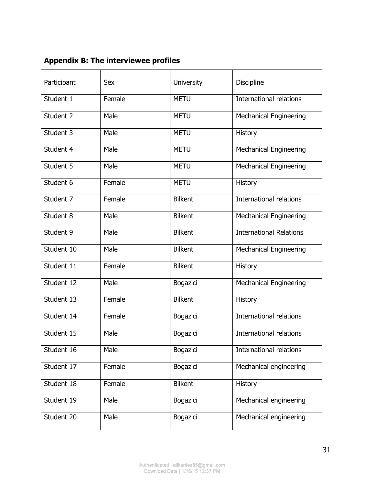**Appendix B: The interviewee profiles** 

| Participant | <b>Sex</b> | <b>University</b> | Discipline                     |
|-------------|------------|-------------------|--------------------------------|
| Student 1   | Female     | <b>METU</b>       | <b>International relations</b> |
| Student 2   | Male       | <b>METU</b>       | <b>Mechanical Engineering</b>  |
| Student 3   | Male       | <b>METU</b>       | <b>History</b>                 |
| Student 4   | Male       | <b>METU</b>       | <b>Mechanical Engineering</b>  |
| Student 5   | Male       | <b>METU</b>       | <b>Mechanical Engineering</b>  |
| Student 6   | Female     | <b>METU</b>       | <b>History</b>                 |
| Student 7   | Female     | <b>Bilkent</b>    | International relations        |
| Student 8   | Male       | <b>Bilkent</b>    | <b>Mechanical Engineering</b>  |
| Student 9   | Male       | <b>Bilkent</b>    | <b>International Relations</b> |
| Student 10  | Male       | <b>Bilkent</b>    | <b>Mechanical Engineering</b>  |
| Student 11  | Female     | <b>Bilkent</b>    | History                        |
| Student 12  | Male       | Bogazici          | <b>Mechanical Engineering</b>  |
| Student 13  | Female     | <b>Bilkent</b>    | <b>History</b>                 |
| Student 14  | Female     | Bogazici          | International relations        |
| Student 15  | Male       | Bogazici          | International relations        |
| Student 16  | Male       | Bogazici          | <b>International relations</b> |
| Student 17  | Female     | Bogazici          | Mechanical engineering         |
| Student 18  | Female     | <b>Bilkent</b>    | <b>History</b>                 |
| Student 19  | Male       | Bogazici          | Mechanical engineering         |
| Student 20  | Male       | Bogazici          | Mechanical engineering         |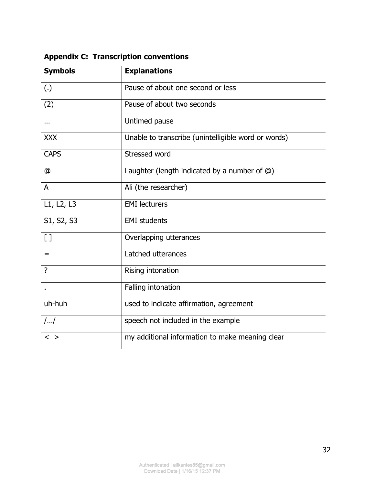| <b>Symbols</b>  | <b>Explanations</b>                                  |
|-----------------|------------------------------------------------------|
| (.)             | Pause of about one second or less                    |
| (2)             | Pause of about two seconds                           |
|                 | Untimed pause                                        |
| <b>XXX</b>      | Unable to transcribe (unintelligible word or words)  |
| <b>CAPS</b>     | Stressed word                                        |
| @               | Laughter (length indicated by a number of $\omega$ ) |
| $\overline{A}$  | Ali (the researcher)                                 |
| L1, L2, L3      | <b>EMI</b> lecturers                                 |
| S1, S2, S3      | <b>EMI</b> students                                  |
| $\left[\right]$ | Overlapping utterances                               |
| $=$             | Latched utterances                                   |
| $\overline{?}$  | Rising intonation                                    |
|                 | Falling intonation                                   |
| uh-huh          | used to indicate affirmation, agreement              |
| $/$ $/$         | speech not included in the example                   |
| $\langle$ >     | my additional information to make meaning clear      |

# **Appendix C: Transcription conventions**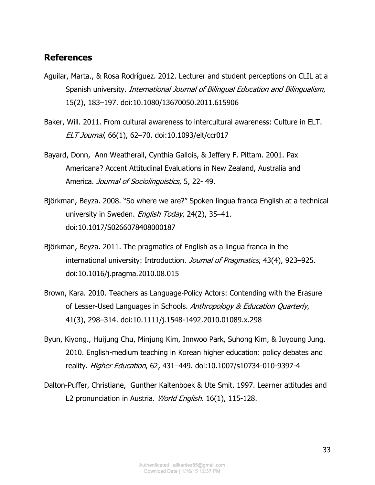### **References**

- Aguilar, Marta., & Rosa Rodríguez. 2012. Lecturer and student perceptions on CLIL at a Spanish university. International Journal of Bilingual Education and Bilingualism, 15(2), 183–197. doi:10.1080/13670050.2011.615906
- Baker, Will. 2011. From cultural awareness to intercultural awareness: Culture in ELT. ELT Journal, 66(1), 62–70. doi:10.1093/elt/ccr017
- Bayard, Donn, Ann Weatherall, Cynthia Gallois, & Jeffery F. Pittam. 2001. Pax Americana? Accent Attitudinal Evaluations in New Zealand, Australia and America. Journal of Sociolinguistics, 5, 22-49.
- Björkman, Beyza. 2008. "So where we are?" Spoken lingua franca English at a technical university in Sweden. English Today, 24(2), 35-41. doi:10.1017/S0266078408000187
- Björkman, Beyza. 2011. The pragmatics of English as a lingua franca in the international university: Introduction. Journal of Pragmatics, 43(4), 923-925. doi:10.1016/j.pragma.2010.08.015
- Brown, Kara. 2010. Teachers as Language‐Policy Actors: Contending with the Erasure of Lesser-Used Languages in Schools. Anthropology & Education Quarterly, 41(3), 298–314. doi:10.1111/j.1548-1492.2010.01089.x.298
- Byun, Kiyong., Huijung Chu, Minjung Kim, Innwoo Park, Suhong Kim, & Juyoung Jung. 2010. English-medium teaching in Korean higher education: policy debates and reality. Higher Education, 62, 431–449. doi:10.1007/s10734-010-9397-4
- Dalton-Puffer, Christiane, Gunther Kaltenboek & Ute Smit. 1997. Learner attitudes and L2 pronunciation in Austria. World English. 16(1), 115-128.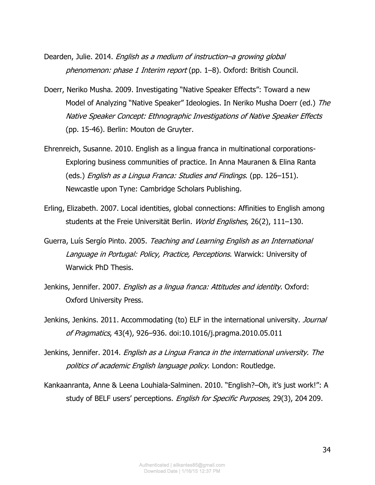- Dearden, Julie. 2014. English as a medium of instruction–a growing global phenomenon: phase 1 Interim report (pp. 1–8). Oxford: British Council.
- Doerr, Neriko Musha. 2009. Investigating "Native Speaker Effects": Toward a new Model of Analyzing "Native Speaker" Ideologies. In Neriko Musha Doerr (ed.) The Native Speaker Concept: Ethnographic Investigations of Native Speaker Effects (pp. 15-46). Berlin: Mouton de Gruyter.
- Ehrenreich, Susanne. 2010. English as a lingua franca in multinational corporations-Exploring business communities of practice. In Anna Mauranen & Elina Ranta (eds.) English as a Lingua Franca: Studies and Findings. (pp. 126–151). Newcastle upon Tyne: Cambridge Scholars Publishing.
- Erling, Elizabeth. 2007. Local identities, global connections: Affinities to English among students at the Freie Universität Berlin. World Englishes, 26(2), 111–130.
- Guerra, Luís Sergío Pinto. 2005. Teaching and Learning English as an International Language in Portugal: Policy, Practice, Perceptions. Warwick: University of Warwick PhD Thesis.
- Jenkins, Jennifer. 2007. *English as a lingua franca: Attitudes and identity*. Oxford: Oxford University Press.
- Jenkins, Jenkins. 2011. Accommodating (to) ELF in the international university. Journal of Pragmatics, 43(4), 926–936. doi:10.1016/j.pragma.2010.05.011
- Jenkins, Jennifer. 2014. [English as a Lingua Franca in the international university. The](http://eprints.soton.ac.uk/349026/)  [politics of academic English language policy](http://eprints.soton.ac.uk/349026/). London: Routledge.
- Kankaanranta, Anne & Leena Louhiala-Salminen. 2010. "English?–Oh, it's just work!": A study of BELF users' perceptions. English for Specific Purposes, 29(3), 204 209.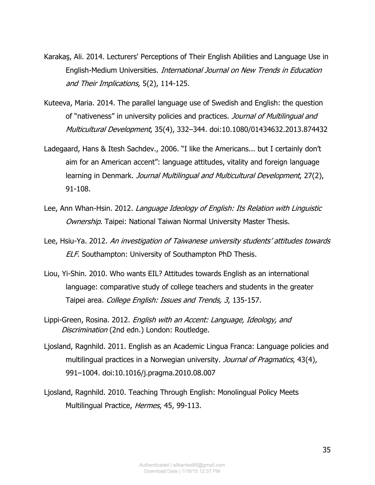- [Karakaş, Ali. 2014. Lecturers' Perceptions of Their English Abilities and Language Use in](javascript:yayinGoster(64549))  English-Medium Universities. [International Journal on New Trends in Education](javascript:yayinGoster(64549))  [and Their Implications,](javascript:yayinGoster(64549)) 5(2), 114-125.
- Kuteeva, Maria. 2014. The parallel language use of Swedish and English: the question of "nativeness" in university policies and practices. Journal of Multilingual and Multicultural Development, 35(4), 332–344. doi:10.1080/01434632.2013.874432
- Ladegaard, Hans & Itesh Sachdev., 2006. "I like the Americans... but I certainly don't aim for an American accent": language attitudes, vitality and foreign language learning in Denmark. Journal Multilingual and Multicultural Development, 27(2), 91-108.
- Lee, Ann Whan-Hsin. 2012. Language Ideology of English: Its Relation with Linguistic Ownership. Taipei: National Taiwan Normal University Master Thesis.
- Lee, Hsiu-Ya. 2012. An investigation of Taiwanese university students' attitudes towards ELF. Southampton: University of Southampton PhD Thesis.
- Liou, Yi-Shin. 2010. Who wants EIL? Attitudes towards English as an international language: comparative study of college teachers and students in the greater Taipei area. College English: Issues and Trends, 3, 135-157.
- Lippi-Green, Rosina. 2012. English with an Accent: Language, Ideology, and Discrimination (2nd edn.) London: Routledge.
- Ljosland, Ragnhild. 2011. English as an Academic Lingua Franca: Language policies and multilingual practices in a Norwegian university. Journal of Pragmatics, 43(4), 991–1004. doi:10.1016/j.pragma.2010.08.007
- Ljosland, Ragnhild. 2010. Teaching Through English: Monolingual Policy Meets Multilingual Practice, Hermes, 45, 99-113.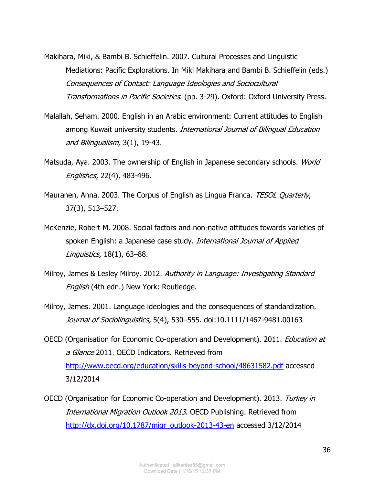- Makihara, Miki, & Bambi B. Schieffelin. 2007. Cultural Processes and Linguistic Mediations: Pacific Explorations. In Miki Makihara and Bambi B. Schieffelin (eds.) Consequences of Contact: Language Ideologies and Sociocultural Transformations in Pacific Societies. (pp. 3-29). Oxford: Oxford University Press.
- Malallah, Seham. 2000. English in an Arabic environment: Current attitudes to English among Kuwait university students. *International Journal of Bilingual Education* and Bilingualism, 3(1), 19-43.
- Matsuda, Aya. 2003. The ownership of English in Japanese secondary schools. World Englishes, 22(4), 483-496.
- Mauranen, Anna. 2003. The Corpus of English as Lingua Franca. TESOL Quarterly, 37(3), 513–527.
- McKenzie, Robert M. 2008. Social factors and non-native attitudes towards varieties of spoken English: a Japanese case study. International Journal of Applied Linguistics, 18(1), 63–88.
- Milroy, James & Lesley Milroy. 2012. Authority in Language: Investigating Standard English (4th edn.) New York: Routledge.
- Milroy, James. 2001. Language ideologies and the consequences of standardization. Journal of Sociolinguistics, 5(4), 530–555. doi:10.1111/1467-9481.00163
- OECD (Organisation for Economic Co-operation and Development). 2011. Education at a Glance 2011. OECD Indicators. Retrieved from <http://www.oecd.org/education/skills-beyond-school/48631582.pdf>accessed 3/12/2014
- OECD (Organisation for Economic Co-operation and Development). 2013. Turkey in International Migration Outlook 2013. OECD Publishing. Retrieved from [http://dx.doi.org/10.1787/migr\\_outlook-2013-43-en](http://dx.doi.org/10.1787/migr_outlook-2013-43-en) accessed 3/12/2014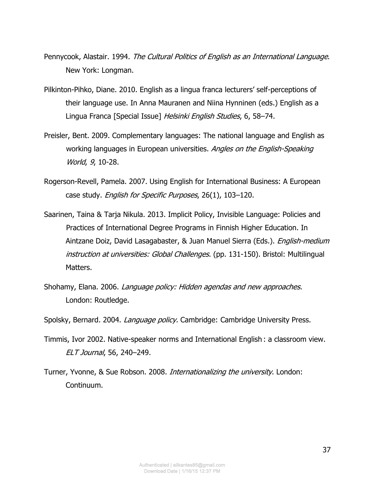- Pennycook, Alastair. 1994. The Cultural Politics of English as an International Language. New York: Longman.
- Pilkinton-Pihko, Diane. 2010. English as a lingua franca lecturers' self-perceptions of their language use. In Anna Mauranen and Niina Hynninen (eds.) English as a Lingua Franca [Special Issue] Helsinki English Studies, 6, 58–74.
- Preisler, Bent. 2009. Complementary languages: The national language and English as working languages in European universities. Angles on the English-Speaking World, 9, 10-28.
- Rogerson-Revell, Pamela. 2007. Using English for International Business: A European case study. *English for Specific Purposes*, 26(1), 103-120.
- Saarinen, Taina & Tarja Nikula. 2013. Implicit Policy, Invisible Language: Policies and Practices of International Degree Programs in Finnish Higher Education. In Aintzane Doiz, David Lasagabaster, & Juan Manuel Sierra (Eds.). *English-medium* instruction at universities: Global Challenges. (pp. 131-150). Bristol: Multilingual Matters.
- Shohamy, Elana. 2006. Language policy: Hidden agendas and new approaches. London: Routledge.
- Spolsky, Bernard. 2004. Language policy. Cambridge: Cambridge University Press.
- Timmis, Ivor 2002. Native-speaker norms and International English : a classroom view. ELT Journal, 56, 240–249.
- Turner, Yvonne, & Sue Robson. 2008. Internationalizing the university. London: Continuum.